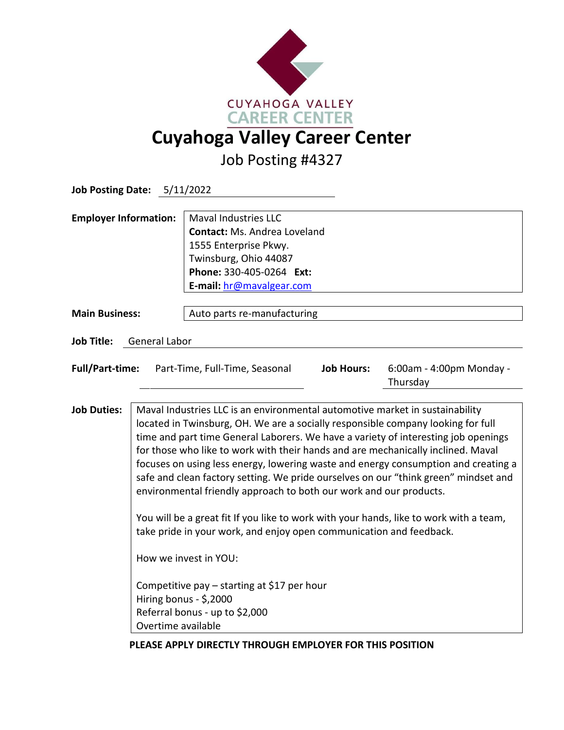

Job Posting #4327

| Job Posting Date: 5/11/2022  |                                                                                                                                                                                                                                                                                                                                                                                                                                                                                                                                                                                                                                                                                                                                                                                                                                                                                                                            |                                                                                                                                                                              |                   |                                      |  |  |
|------------------------------|----------------------------------------------------------------------------------------------------------------------------------------------------------------------------------------------------------------------------------------------------------------------------------------------------------------------------------------------------------------------------------------------------------------------------------------------------------------------------------------------------------------------------------------------------------------------------------------------------------------------------------------------------------------------------------------------------------------------------------------------------------------------------------------------------------------------------------------------------------------------------------------------------------------------------|------------------------------------------------------------------------------------------------------------------------------------------------------------------------------|-------------------|--------------------------------------|--|--|
| <b>Employer Information:</b> |                                                                                                                                                                                                                                                                                                                                                                                                                                                                                                                                                                                                                                                                                                                                                                                                                                                                                                                            | <b>Maval Industries LLC</b><br><b>Contact: Ms. Andrea Loveland</b><br>1555 Enterprise Pkwy.<br>Twinsburg, Ohio 44087<br>Phone: 330-405-0264 Ext:<br>E-mail: hr@mavalgear.com |                   |                                      |  |  |
| <b>Main Business:</b>        |                                                                                                                                                                                                                                                                                                                                                                                                                                                                                                                                                                                                                                                                                                                                                                                                                                                                                                                            | Auto parts re-manufacturing                                                                                                                                                  |                   |                                      |  |  |
| <b>Job Title:</b>            | <b>General Labor</b>                                                                                                                                                                                                                                                                                                                                                                                                                                                                                                                                                                                                                                                                                                                                                                                                                                                                                                       |                                                                                                                                                                              |                   |                                      |  |  |
| <b>Full/Part-time:</b>       |                                                                                                                                                                                                                                                                                                                                                                                                                                                                                                                                                                                                                                                                                                                                                                                                                                                                                                                            | Part-Time, Full-Time, Seasonal                                                                                                                                               | <b>Job Hours:</b> | 6:00am - 4:00pm Monday -<br>Thursday |  |  |
| <b>Job Duties:</b>           | Maval Industries LLC is an environmental automotive market in sustainability<br>located in Twinsburg, OH. We are a socially responsible company looking for full<br>time and part time General Laborers. We have a variety of interesting job openings<br>for those who like to work with their hands and are mechanically inclined. Maval<br>focuses on using less energy, lowering waste and energy consumption and creating a<br>safe and clean factory setting. We pride ourselves on our "think green" mindset and<br>environmental friendly approach to both our work and our products.<br>You will be a great fit If you like to work with your hands, like to work with a team,<br>take pride in your work, and enjoy open communication and feedback.<br>How we invest in YOU:<br>Competitive pay $-$ starting at \$17 per hour<br>Hiring bonus - \$,2000<br>Referral bonus - up to \$2,000<br>Overtime available |                                                                                                                                                                              |                   |                                      |  |  |

## **PLEASE APPLY DIRECTLY THROUGH EMPLOYER FOR THIS POSITION**